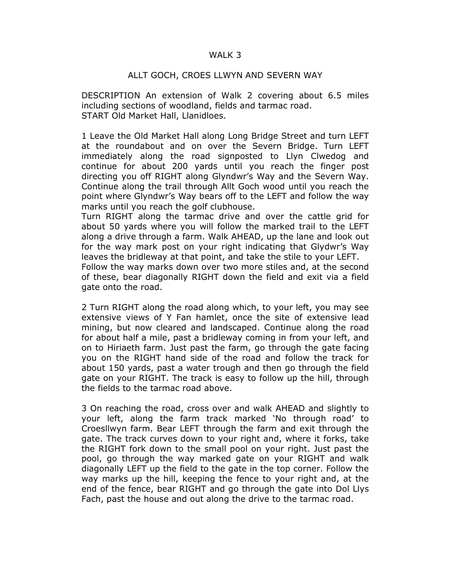## WALK 3

## ALLT GOCH, CROES LLWYN AND SEVERN WAY

DESCRIPTION An extension of Walk 2 covering about 6.5 miles including sections of woodland, fields and tarmac road. START Old Market Hall, Llanidloes.

1 Leave the Old Market Hall along Long Bridge Street and turn LEFT at the roundabout and on over the Severn Bridge. Turn LEFT immediately along the road signposted to Llyn Clwedog and continue for about 200 yards until you reach the finger post directing you off RIGHT along Glyndwr's Way and the Severn Way. Continue along the trail through Allt Goch wood until you reach the point where Glyndwr's Way bears off to the LEFT and follow the way marks until you reach the golf clubhouse.

Turn RIGHT along the tarmac drive and over the cattle grid for about 50 yards where you will follow the marked trail to the LEFT along a drive through a farm. Walk AHEAD, up the lane and look out for the way mark post on your right indicating that Glydwr's Way leaves the bridleway at that point, and take the stile to your LEFT.

Follow the way marks down over two more stiles and, at the second of these, bear diagonally RIGHT down the field and exit via a field gate onto the road.

2 Turn RIGHT along the road along which, to your left, you may see extensive views of Y Fan hamlet, once the site of extensive lead mining, but now cleared and landscaped. Continue along the road for about half a mile, past a bridleway coming in from your left, and on to Hiriaeth farm. Just past the farm, go through the gate facing you on the RIGHT hand side of the road and follow the track for about 150 yards, past a water trough and then go through the field gate on your RIGHT. The track is easy to follow up the hill, through the fields to the tarmac road above.

3 On reaching the road, cross over and walk AHEAD and slightly to your left, along the farm track marked 'No through road' to Croesllwyn farm. Bear LEFT through the farm and exit through the gate. The track curves down to your right and, where it forks, take the RIGHT fork down to the small pool on your right. Just past the pool, go through the way marked gate on your RIGHT and walk diagonally LEFT up the field to the gate in the top corner. Follow the way marks up the hill, keeping the fence to your right and, at the end of the fence, bear RIGHT and go through the gate into Dol Llys Fach, past the house and out along the drive to the tarmac road.